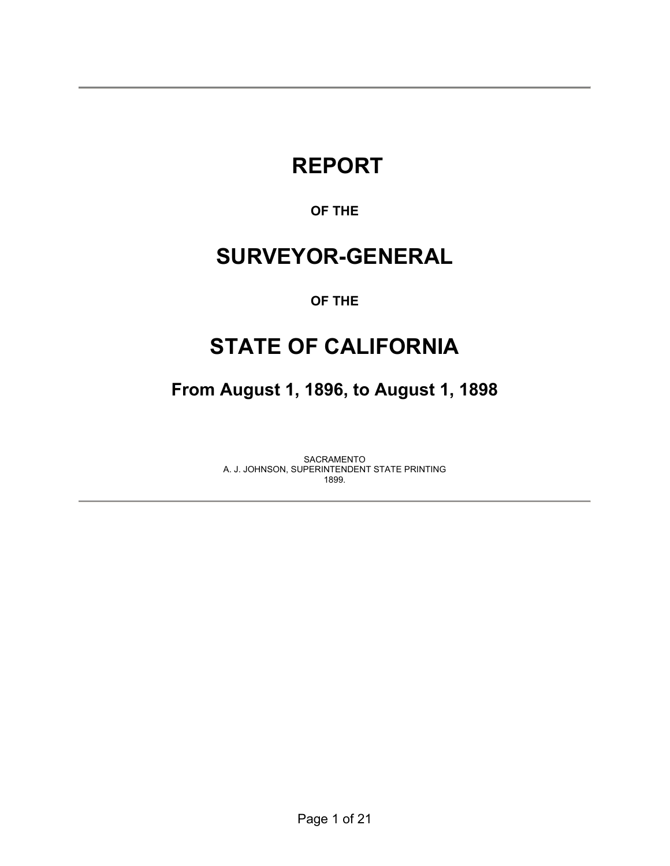# **REPORT**

### **OF THE**

## **SURVEYOR-GENERAL**

#### **OF THE**

## **STATE OF CALIFORNIA**

**From August 1, 1896, to August 1, 1898** 

SACRAMENTO A. J. JOHNSON, SUPERINTENDENT STATE PRINTING 1899.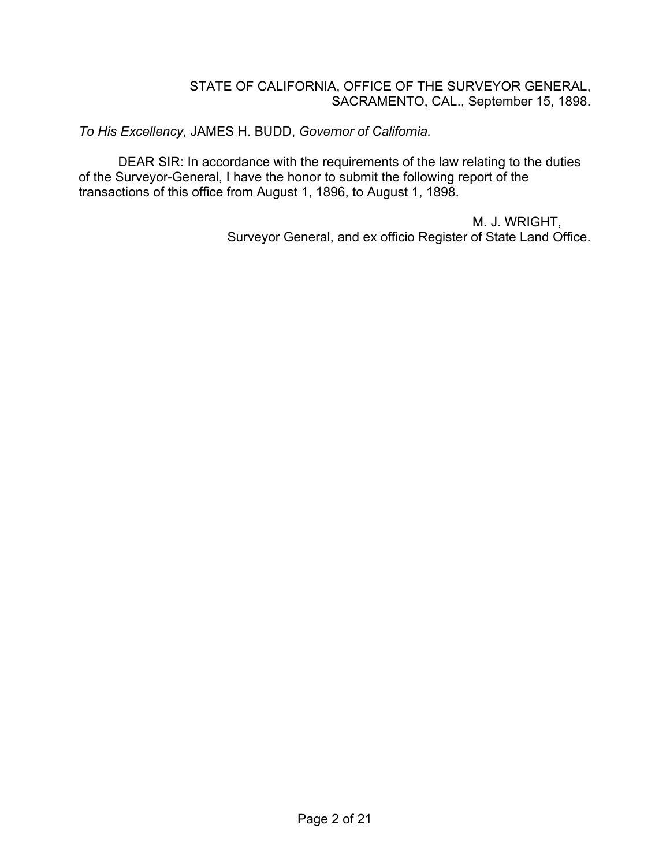#### STATE OF CALIFORNIA, OFFICE OF THE SURVEYOR GENERAL, SACRAMENTO, CAL., September 15, 1898.

*To His Excellency,* JAMES H. BUDD, *Governor of California.*

DEAR SIR: In accordance with the requirements of the law relating to the duties of the Surveyor-General, I have the honor to submit the following report of the transactions of this office from August 1, 1896, to August 1, 1898.

> M. J. WRIGHT, Surveyor General, and ex officio Register of State Land Office.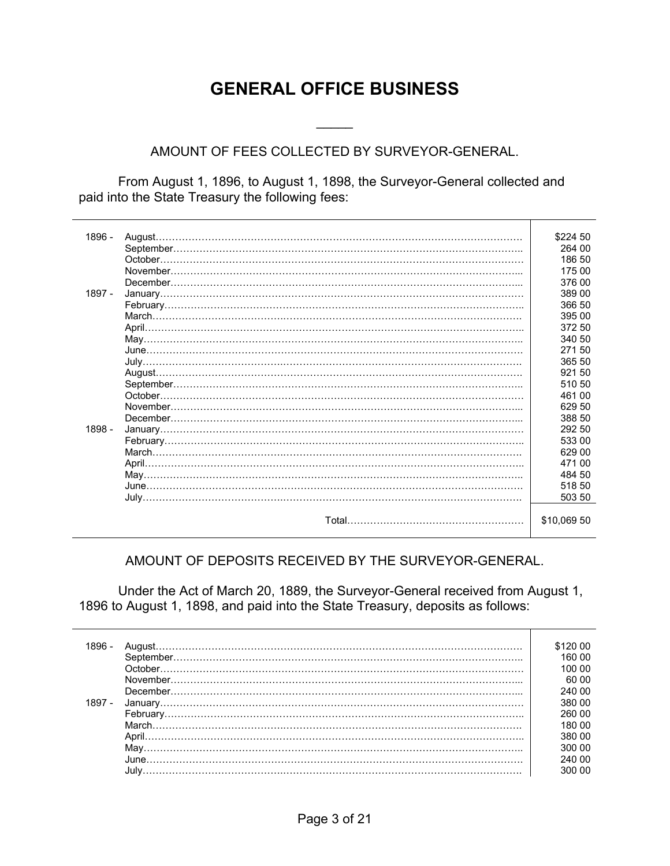## **GENERAL OFFICE BUSINESS**

#### AMOUNT OF FEES COLLECTED BY SURVEYOR-GENERAL.

 $\frac{1}{2}$ 

 From August 1, 1896, to August 1, 1898, the Surveyor-General collected and paid into the State Treasury the following fees:

| 1896 -   | August.  | \$224 50    |
|----------|----------|-------------|
|          |          | 264 00      |
|          | October. | 186 50      |
|          |          | 175 00      |
|          |          | 376 00      |
| $1897 -$ |          | 389 00      |
|          |          | 366 50      |
|          |          | 395 00      |
|          |          | 372 50      |
|          |          | 340 50      |
|          |          | 27150       |
|          |          | 365 50      |
|          |          | 921 50      |
|          |          | 510 50      |
|          |          | 461 00      |
|          |          | 629 50      |
|          |          | 388 50      |
| 1898 -   |          | 292 50      |
|          |          | 533 00      |
|          |          | 629 00      |
|          |          | 471 00      |
|          |          | 484 50      |
|          |          | 518 50      |
|          |          | 503 50      |
|          |          |             |
|          |          | \$10,069 50 |
|          |          |             |

#### AMOUNT OF DEPOSITS RECEIVED BY THE SURVEYOR-GENERAL.

 Under the Act of March 20, 1889, the Surveyor-General received from August 1, 1896 to August 1, 1898, and paid into the State Treasury, deposits as follows:

| 1896 - | \$120 00 |
|--------|----------|
|        | 160.00   |
|        | 100 00   |
|        | 60 00    |
|        | 240.00   |
| 1897 - | 380 00   |
|        | 260 00   |
|        | 180 00   |
|        | 380 00   |
|        | 300.00   |
|        | 240.00   |
|        | 300 00   |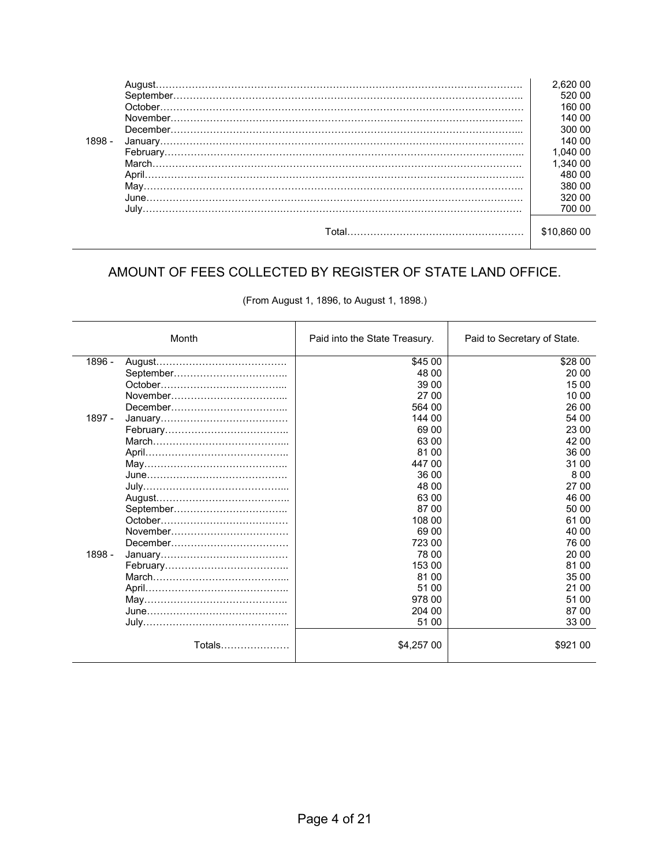|        | August. | 2.620 00 |
|--------|---------|----------|
|        |         | 520 00   |
|        |         | 160 00   |
|        |         | 140 00   |
|        |         | 300 00   |
| 1898 - |         | 140.00   |
|        |         | 1.040 00 |
|        |         | 1.340 00 |
|        |         | 480 00   |
|        |         | 380 00   |
|        |         | 320.00   |
|        |         | 700 00   |
|        |         |          |
|        |         | \$10.860 |
|        |         |          |

## AMOUNT OF FEES COLLECTED BY REGISTER OF STATE LAND OFFICE.

| (From August 1, 1896, to August 1, 1898.) |  |  |  |
|-------------------------------------------|--|--|--|
|-------------------------------------------|--|--|--|

|          | Month  | Paid into the State Treasury. | Paid to Secretary of State. |
|----------|--------|-------------------------------|-----------------------------|
| $1896 -$ |        | \$45 00                       | \$28 00                     |
|          |        | 48 00                         | 20 00                       |
|          |        | 39 00                         | 15 00                       |
|          |        | 27 00                         | 10 00                       |
|          |        | 564 00                        | 26 00                       |
| $1897 -$ |        | 144 00                        | 54 00                       |
|          |        | 69 00                         | 23 00                       |
|          |        | 63 00                         | 42 00                       |
|          |        | 81 00                         | 36 00                       |
|          |        | 447 00                        | 31 00                       |
|          |        | 36 00                         | 8.00                        |
|          |        | 48 00                         | 27 00                       |
|          |        | 63 00                         | 46 00                       |
|          |        | 87 00                         | 50 00                       |
|          |        | 108 00                        | 61 00                       |
|          |        | 69 00                         | 40 00                       |
|          |        | 723 00                        | 76 00                       |
| 1898 -   |        | 78 00                         | 20 00                       |
|          |        | 153 00                        | 81 00                       |
|          |        | 81 00                         | 35 00                       |
|          |        | 51 00                         | 21 00                       |
|          |        | 978 00                        | 51 00                       |
|          |        | 204 00                        | 87 00                       |
|          |        | 51 00                         | 33 00                       |
|          | Totals | \$4,257 00                    | \$921 00                    |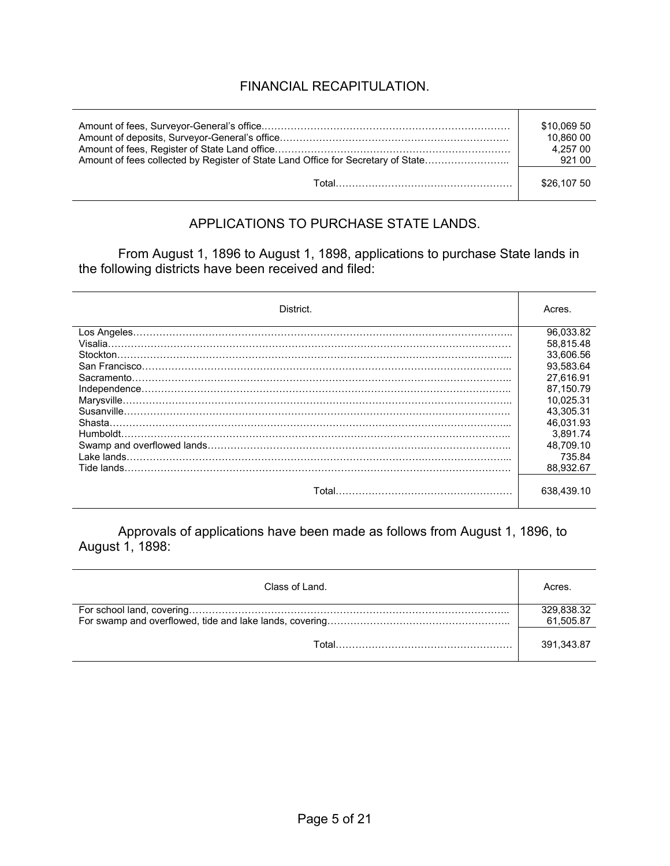## FINANCIAL RECAPITULATION.

|                                                                                  | \$10,069 50<br>10.860 00<br>4.257 00 |
|----------------------------------------------------------------------------------|--------------------------------------|
| Amount of fees collected by Register of State Land Office for Secretary of State | 921 00                               |
|                                                                                  | \$26,107 50                          |

#### APPLICATIONS TO PURCHASE STATE LANDS.

From August 1, 1896 to August 1, 1898, applications to purchase State lands in the following districts have been received and filed:

| District.   | Acres.     |
|-------------|------------|
|             | 96,033.82  |
|             | 58.815.48  |
|             | 33.606.56  |
|             | 93.583.64  |
| Sacramento. | 27.616.91  |
|             | 87.150.79  |
|             | 10.025.31  |
|             | 43.305.31  |
| Shasta.     | 46.031.93  |
|             | 3.891.74   |
|             | 48.709.10  |
| Lake lands. | 735.84     |
| Tide lands. | 88.932.67  |
|             | 638.439.10 |

Approvals of applications have been made as follows from August 1, 1896, to August 1, 1898:

| Class of Land. | Acres.                  |
|----------------|-------------------------|
|                | 329,838.32<br>61,505.87 |
|                | 391.343.87              |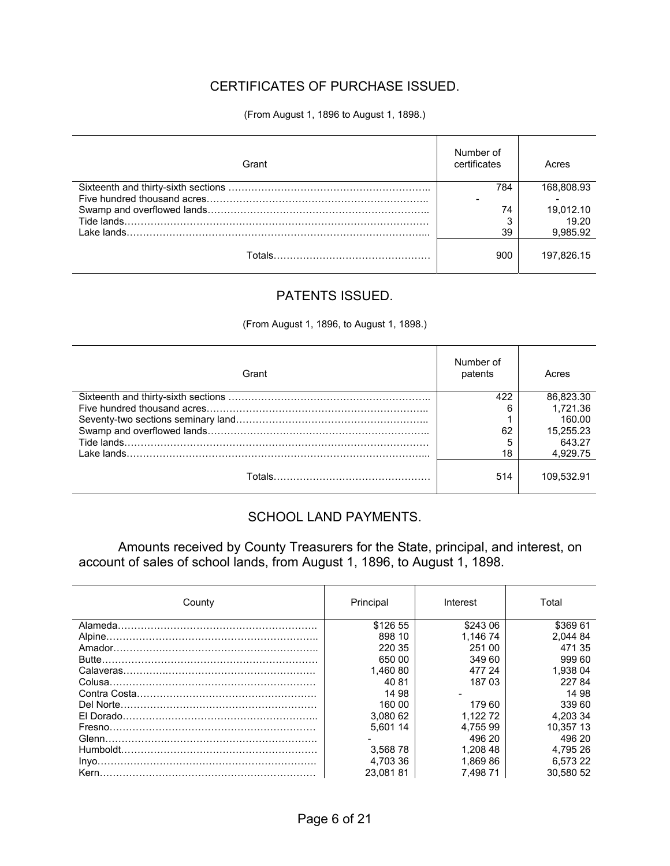### CERTIFICATES OF PURCHASE ISSUED.

(From August 1, 1896 to August 1, 1898.)

| Grant | Number of<br>certificates | Acres      |
|-------|---------------------------|------------|
|       | 784                       | 168.808.93 |
|       |                           |            |
|       | 74                        | 19,012.10  |
|       | ິ                         | 19.20      |
|       | 39                        | 9,985.92   |
|       | 900                       | 197.826.15 |

#### PATENTS ISSUED.

(From August 1, 1896, to August 1, 1898.)

| Grant | Number of<br>patents | Acres      |
|-------|----------------------|------------|
|       | 422                  | 86,823.30  |
|       | 6                    | 1.721.36   |
|       |                      | 160.00     |
|       | 62                   | 15,255.23  |
|       | 5                    | 643.27     |
|       | 18                   | 4,929.75   |
|       | 514                  | 109.532.91 |

#### SCHOOL LAND PAYMENTS.

Amounts received by County Treasurers for the State, principal, and interest, on account of sales of school lands, from August 1, 1896, to August 1, 1898.

| County | Principal | Interest | Total     |
|--------|-----------|----------|-----------|
|        | \$126 55  | \$243.06 | \$369 61  |
|        | 898 10    | 1.146 74 | 2.044 84  |
|        | 220 35    | 251 00   | 471 35    |
|        | 650 00    | 349 60   | 999 60    |
|        | 1.460 80  | 477 24   | 1.938 04  |
|        | 4081      | 187 03   | 22784     |
|        | 14 98     |          | 14 98     |
|        | 160 00    | 179 60   | 339.60    |
|        | 3.080 62  | 1.122 72 | 4.203 34  |
|        | 5.601 14  | 4.75599  | 10.357 13 |
|        |           | 496 20   | 496 20    |
|        | 3.56878   | 1.208 48 | 4.795 26  |
|        | 4.703 36  | 1.869 86 | 6.573 22  |
|        | 23.08181  | 7.498 71 | 30.580 52 |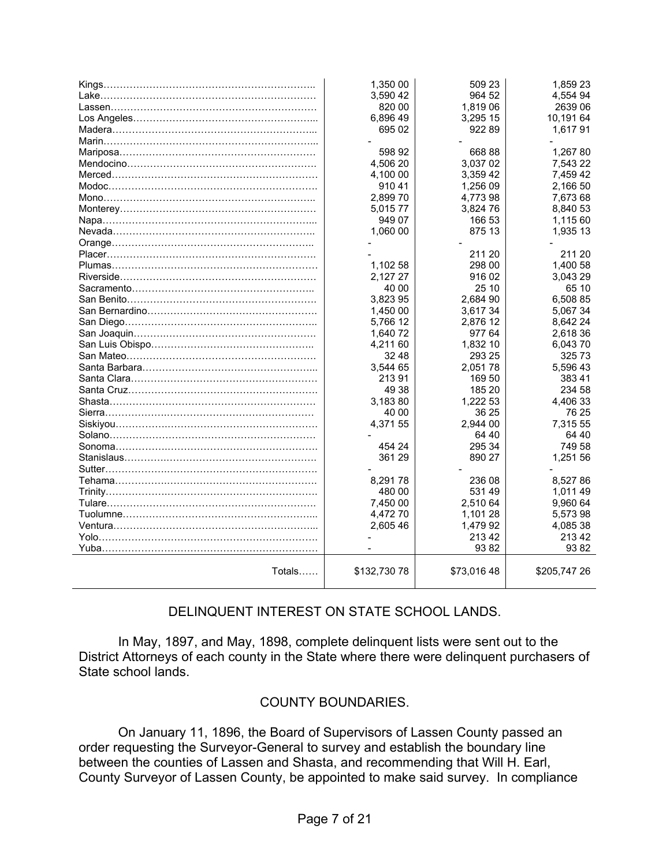|                               | 1,350 00     | 509 23     | 1,859 23     |
|-------------------------------|--------------|------------|--------------|
|                               | 3,590 42     | 964 52     | 4,554 94     |
|                               | 820 00       | 1,819 06   | 2639 06      |
|                               | 6,896 49     | 3,295 15   | 10,191 64    |
|                               | 695 02       | 92289      | 1,61791      |
|                               |              |            |              |
|                               | 598 92       | 66888      | 1,267 80     |
|                               | 4,506 20     | 3,037 02   | 7,543 22     |
|                               | 4,100 00     | 3,359 42   | 7,459 42     |
|                               | 91041        | 1,256 09   | 2,166 50     |
|                               | 2,899 70     | 4,773 98   | 7,673 68     |
|                               | 5,01577      | 3,824 76   | 8,840 53     |
|                               | 949 07       | 166 53     | 1,115 60     |
|                               | 1,060 00     | 875 13     | 1,935 13     |
|                               |              |            |              |
|                               |              | 211 20     | 211 20       |
|                               | 1,102 58     | 298 00     | 1,400 58     |
|                               | 2,127 27     | 916 02     | 3,043 29     |
|                               | 40 00        | 25 10      | 65 10        |
|                               | 3.823 95     | 2.684 90   | 6.508 85     |
|                               | 1,450 00     | 3,617 34   | 5,067 34     |
|                               | 5,766 12     | 2,876 12   | 8,642 24     |
|                               | 1,640 72     | 977 64     | 2,618 36     |
|                               | 4,211 60     | 1,832 10   | 6,04370      |
|                               | 32 48        | 293 25     | 325 73       |
|                               | 3,544 65     | 2,05178    | 5,596 43     |
|                               | 21391        | 169 50     | 383 41       |
|                               | 49 38        | 185 20     | 234 58       |
|                               | 3,18380      | 1,222 53   | 4,406 33     |
|                               | 40 00        | 36 25      | 76 25        |
| Siskiyou……………………………………………………… | 4,371 55     | 2.944 00   | 7.315 55     |
|                               |              | 64 40      | 64 40        |
|                               | 454 24       | 295 34     | 749 58       |
|                               | 361 29       | 890 27     | 1,251 56     |
|                               |              |            |              |
|                               | 8.29178      | 236 08     | 8,52786      |
|                               | 480 00       | 531 49     | 1,011 49     |
|                               | 7,450 00     | 2,510 64   | 9,960 64     |
|                               | 4,472 70     | 1,101 28   | 5,573 98     |
|                               | 2,605 46     | 1,479 92   | 4,085 38     |
|                               |              | 213 42     | 21342        |
|                               |              | 9382       | 93 82        |
| Totals                        | \$132,730 78 | \$73,01648 | \$205,747 26 |

#### DELINQUENT INTEREST ON STATE SCHOOL LANDS.

 In May, 1897, and May, 1898, complete delinquent lists were sent out to the District Attorneys of each county in the State where there were delinquent purchasers of State school lands.

#### COUNTY BOUNDARIES.

 On January 11, 1896, the Board of Supervisors of Lassen County passed an order requesting the Surveyor-General to survey and establish the boundary line between the counties of Lassen and Shasta, and recommending that Will H. Earl, County Surveyor of Lassen County, be appointed to make said survey. In compliance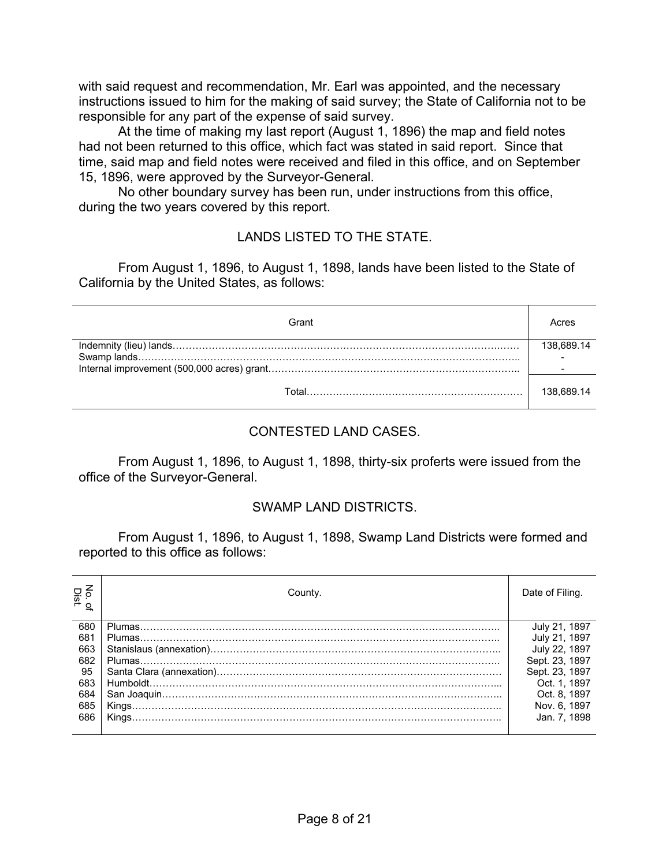with said request and recommendation, Mr. Earl was appointed, and the necessary instructions issued to him for the making of said survey; the State of California not to be responsible for any part of the expense of said survey.

 At the time of making my last report (August 1, 1896) the map and field notes had not been returned to this office, which fact was stated in said report. Since that time, said map and field notes were received and filed in this office, and on September 15, 1896, were approved by the Surveyor-General.

 No other boundary survey has been run, under instructions from this office, during the two years covered by this report.

#### LANDS LISTED TO THE STATE.

 From August 1, 1896, to August 1, 1898, lands have been listed to the State of California by the United States, as follows:

| Grant | $^{\circ}$ cres |
|-------|-----------------|
|       | 138.689.14      |
|       |                 |
|       |                 |
| ั∩tal | 138.689.14      |

#### CONTESTED LAND CASES.

 From August 1, 1896, to August 1, 1898, thirty-six proferts were issued from the office of the Surveyor-General.

#### SWAMP LAND DISTRICTS.

 From August 1, 1896, to August 1, 1898, Swamp Land Districts were formed and reported to this office as follows:

| No. o<br>Dist. | County. | Date of Filing. |
|----------------|---------|-----------------|
| 680            |         | July 21, 1897   |
| 681            |         | July 21, 1897   |
| 663            |         | July 22, 1897   |
| 682            |         | Sept. 23, 1897  |
| 95             |         | Sept. 23, 1897  |
| 683            |         | Oct. 1, 1897    |
| 684            |         | Oct. 8. 1897    |
| 685            |         | Nov. 6, 1897    |
| 686            |         | Jan. 7, 1898    |
|                |         |                 |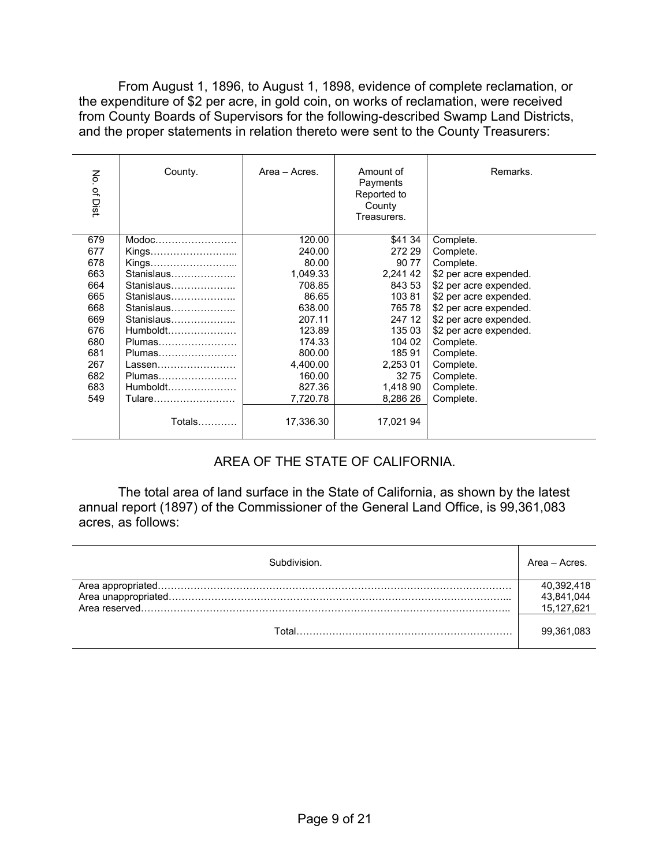From August 1, 1896, to August 1, 1898, evidence of complete reclamation, or the expenditure of \$2 per acre, in gold coin, on works of reclamation, were received from County Boards of Supervisors for the following-described Swamp Land Districts, and the proper statements in relation thereto were sent to the County Treasurers:

| No. of Dist | County.    | Area - Acres. | Amount of<br>Payments<br>Reported to<br>County<br>Treasurers. | Remarks.               |
|-------------|------------|---------------|---------------------------------------------------------------|------------------------|
| 679         | Modoc      | 120.00        | \$41 34                                                       | Complete.              |
| 677         | Kings      | 240.00        | 272 29                                                        | Complete.              |
| 678         | Kings      | 80.00         | 90 77                                                         | Complete.              |
| 663         | Stanislaus | 1,049.33      | 2,241 42                                                      | \$2 per acre expended. |
| 664         | Stanislaus | 708.85        | 843 53                                                        | \$2 per acre expended. |
| 665         | Stanislaus | 86.65         | 10381                                                         | \$2 per acre expended. |
| 668         | Stanislaus | 638.00        | 765 78                                                        | \$2 per acre expended. |
| 669         | Stanislaus | 207.11        | 247 12                                                        | \$2 per acre expended. |
| 676         | Humboldt   | 123.89        | 135 03                                                        | \$2 per acre expended. |
| 680         | Plumas     | 174.33        | 104 02                                                        | Complete.              |
| 681         | Plumas     | 800.00        | 18591                                                         | Complete.              |
| 267         |            | 4,400.00      | 2,253 01                                                      | Complete.              |
| 682         | Plumas     | 160.00        | 32 75                                                         | Complete.              |
| 683         | $Humboldt$ | 827.36        | 1,418 90                                                      | Complete.              |
| 549         | Tulare     | 7,720.78      | 8,286 26                                                      | Complete.              |
|             | Totals     | 17,336.30     | 17,021 94                                                     |                        |

#### AREA OF THE STATE OF CALIFORNIA.

 The total area of land surface in the State of California, as shown by the latest annual report (1897) of the Commissioner of the General Land Office, is 99,361,083 acres, as follows:

| univision | Area - Acres. |
|-----------|---------------|
|           | 40,392,418    |
|           | 43,841,044    |
|           | 15,127,621    |
| Total     | 99,361,083    |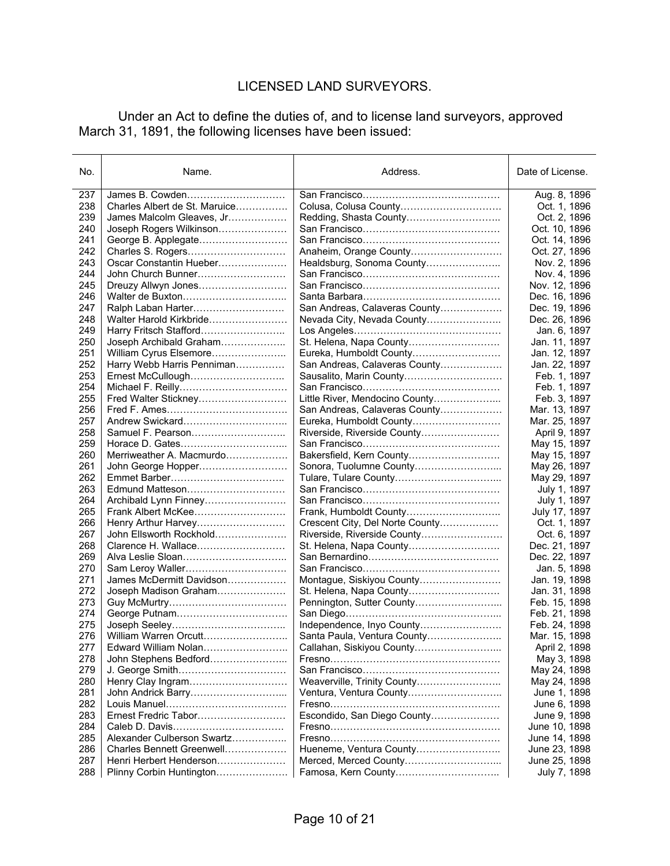### LICENSED LAND SURVEYORS.

 Under an Act to define the duties of, and to license land surveyors, approved March 31, 1891, the following licenses have been issued:

| No. | Name.                         | Address.                        | Date of License. |
|-----|-------------------------------|---------------------------------|------------------|
| 237 | James B. Cowden               |                                 | Aug. 8, 1896     |
| 238 | Charles Albert de St. Maruice |                                 | Oct. 1, 1896     |
| 239 | James Malcolm Gleaves, Jr     |                                 | Oct. 2, 1896     |
| 240 | Joseph Rogers Wilkinson       |                                 | Oct. 10, 1896    |
| 241 | George B. Applegate           |                                 | Oct. 14, 1896    |
| 242 | Charles S. Rogers             | Anaheim, Orange County          | Oct. 27, 1896    |
| 243 | Oscar Constantin Hueber       | Healdsburg, Sonoma County       | Nov. 2, 1896     |
| 244 | John Church Bunner            |                                 | Nov. 4, 1896     |
| 245 | Dreuzy Allwyn Jones           |                                 | Nov. 12, 1896    |
| 246 |                               |                                 | Dec. 16, 1896    |
| 247 |                               | San Andreas, Calaveras County   | Dec. 19, 1896    |
| 248 | Walter Harold Kirkbride       | Nevada City, Nevada County      | Dec. 26, 1896    |
| 249 | Harry Fritsch Stafford        |                                 | Jan. 6, 1897     |
| 250 | Joseph Archibald Graham       | St. Helena, Napa County         | Jan. 11, 1897    |
| 251 | William Cyrus Elsemore        | Eureka, Humboldt County         | Jan. 12, 1897    |
| 252 | Harry Webb Harris Penniman    | San Andreas, Calaveras County   | Jan. 22, 1897    |
| 253 | Ernest McCullough             | Sausalito, Marin County         | Feb. 1, 1897     |
| 254 |                               |                                 | Feb. 1, 1897     |
| 255 | Fred Walter Stickney          | Little River, Mendocino County  | Feb. 3, 1897     |
| 256 |                               | San Andreas, Calaveras County   | Mar. 13, 1897    |
| 257 | Andrew Swickard               | Eureka, Humboldt County         | Mar. 25, 1897    |
| 258 |                               | Riverside, Riverside County     | April 9, 1897    |
| 259 |                               |                                 | May 15, 1897     |
| 260 | Merriweather A. Macmurdo      | Bakersfield, Kern County        | May 15, 1897     |
| 261 | John George Hopper            |                                 | May 26, 1897     |
| 262 |                               |                                 | May 29, 1897     |
| 263 | Edmund Matteson               |                                 | July 1, 1897     |
| 264 | Archibald Lynn Finney         |                                 | July 1, 1897     |
| 265 | Frank Albert McKee            | Frank, Humboldt County          | July 17, 1897    |
| 266 | Henry Arthur Harvey           | Crescent City, Del Norte County | Oct. 1, 1897     |
| 267 | John Ellsworth Rockhold       | Riverside, Riverside County     | Oct. 6, 1897     |
| 268 | Clarence H. Wallace           |                                 | Dec. 21, 1897    |
| 269 | Alva Leslie Sloan             |                                 | Dec. 22, 1897    |
| 270 |                               |                                 | Jan. 5, 1898     |
| 271 | James McDermitt Davidson      | Montague, Siskiyou County       | Jan. 19, 1898    |
| 272 | Joseph Madison Graham         | St. Helena, Napa County         | Jan. 31, 1898    |
| 273 |                               | Pennington, Sutter County       | Feb. 15, 1898    |
| 274 |                               |                                 | Feb. 21, 1898    |
| 275 |                               | Independence, Inyo County       | Feb. 24, 1898    |
| 276 | William Warren Orcutt         | Santa Paula, Ventura County     | Mar. 15, 1898    |
| 277 | Edward William Nolan          | Callahan, Siskiyou County       | April 2, 1898    |
| 278 | John Stephens Bedford         |                                 | May 3, 1898      |
| 279 |                               |                                 | May 24, 1898     |
| 280 | Henry Clay Ingram             | Weaverville, Trinity County     | May 24, 1898     |
| 281 | John Andrick Barry            | Ventura, Ventura County         | June 1, 1898     |
| 282 |                               |                                 | June 6, 1898     |
| 283 | Ernest Fredric Tabor          | Escondido, San Diego County     | June 9, 1898     |
| 284 |                               |                                 | June 10, 1898    |
| 285 | Alexander Culberson Swartz    |                                 | June 14, 1898    |
| 286 | Charles Bennett Greenwell     | Hueneme, Ventura County         | June 23, 1898    |
| 287 | Henri Herbert Henderson       |                                 | June 25, 1898    |
| 288 | Plinny Corbin Huntington      |                                 | July 7, 1898     |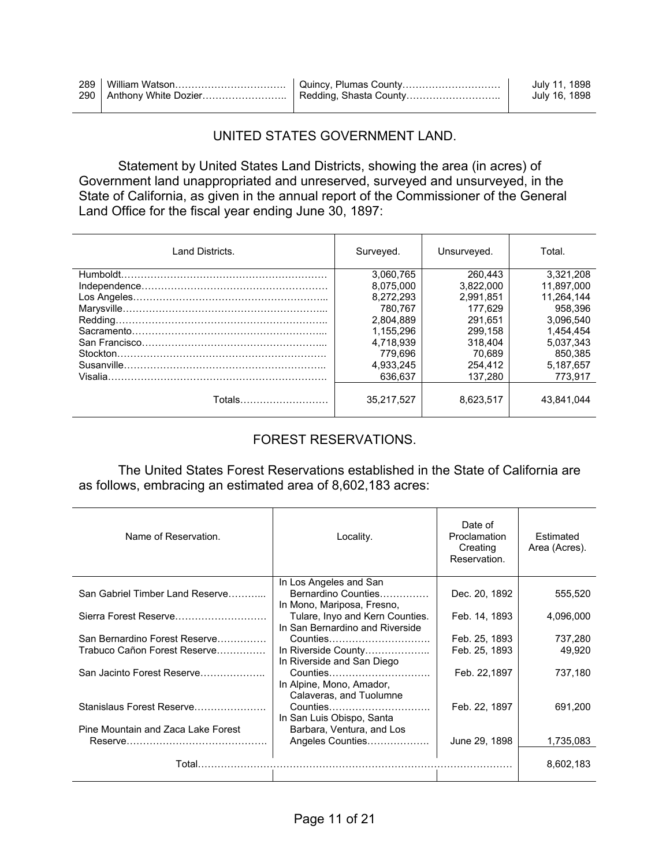|  | July 11, 1898 |
|--|---------------|
|  | July 16, 1898 |

#### UNITED STATES GOVERNMENT LAND.

 Statement by United States Land Districts, showing the area (in acres) of Government land unappropriated and unreserved, surveyed and unsurveyed, in the State of California, as given in the annual report of the Commissioner of the General Land Office for the fiscal year ending June 30, 1897:

| Land Districts. | Surveyed.  | Unsurveyed. | Total.     |
|-----------------|------------|-------------|------------|
|                 | 3.060.765  | 260.443     | 3.321.208  |
|                 | 8.075.000  | 3.822.000   | 11.897.000 |
|                 | 8.272.293  | 2.991.851   | 11.264.144 |
|                 | 780.767    | 177.629     | 958.396    |
|                 | 2.804.889  | 291.651     | 3.096.540  |
|                 | 1,155,296  | 299.158     | 1,454,454  |
|                 | 4.718.939  | 318.404     | 5.037.343  |
|                 | 779.696    | 70.689      | 850,385    |
|                 | 4.933.245  | 254.412     | 5.187.657  |
|                 | 636.637    | 137.280     | 773.917    |
| Totals……………………… | 35.217.527 | 8.623.517   | 43.841.044 |

#### FOREST RESERVATIONS.

 The United States Forest Reservations established in the State of California are as follows, embracing an estimated area of 8,602,183 acres:

| Name of Reservation.                                          | Locality.                                                                   | Date of<br>Proclamation<br>Creating<br>Reservation. | Estimated<br>Area (Acres). |
|---------------------------------------------------------------|-----------------------------------------------------------------------------|-----------------------------------------------------|----------------------------|
| San Gabriel Timber Land Reserve                               | In Los Angeles and San<br>Bernardino Counties<br>In Mono, Mariposa, Fresno, | Dec. 20, 1892                                       | 555,520                    |
| Sierra Forest Reserve                                         | Tulare, Inyo and Kern Counties.<br>In San Bernardino and Riverside          | Feb. 14, 1893                                       | 4,096,000                  |
| San Bernardino Forest Reserve<br>Trabuco Cañon Forest Reserve | Counties<br>In Riverside County<br>In Riverside and San Diego               | Feb. 25, 1893<br>Feb. 25, 1893                      | 737,280<br>49,920          |
| San Jacinto Forest Reserve                                    | Counties<br>In Alpine, Mono, Amador,<br>Calaveras, and Tuolumne             | Feb. 22,1897                                        | 737,180                    |
| Stanislaus Forest Reserve                                     | Counties<br>In San Luis Obispo, Santa                                       | Feb. 22, 1897                                       | 691,200                    |
| Pine Mountain and Zaca Lake Forest                            | Barbara, Ventura, and Los<br>Angeles Counties                               | June 29, 1898                                       | 1,735,083                  |
| Total                                                         |                                                                             |                                                     | 8,602,183                  |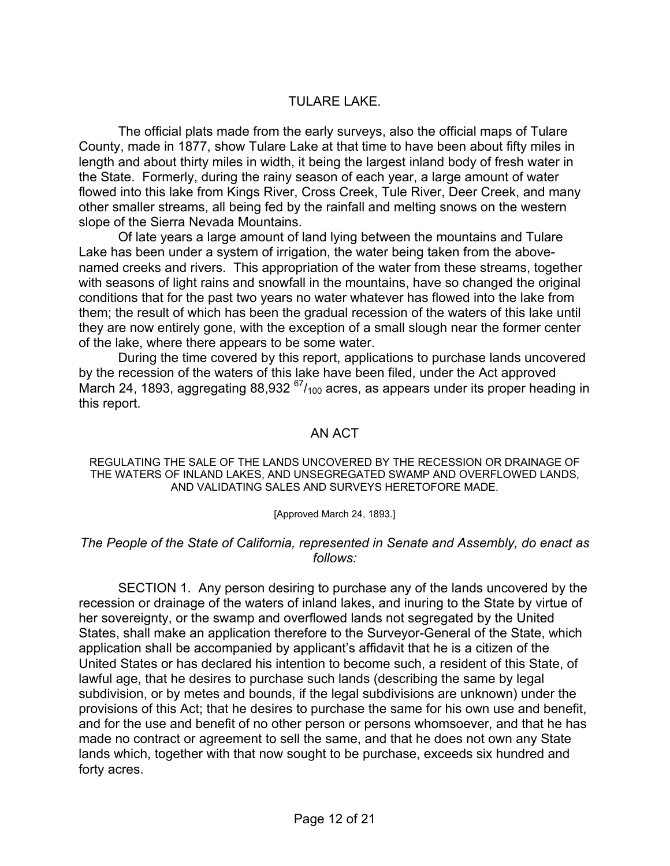#### TULARE LAKE.

 The official plats made from the early surveys, also the official maps of Tulare County, made in 1877, show Tulare Lake at that time to have been about fifty miles in length and about thirty miles in width, it being the largest inland body of fresh water in the State. Formerly, during the rainy season of each year, a large amount of water flowed into this lake from Kings River, Cross Creek, Tule River, Deer Creek, and many other smaller streams, all being fed by the rainfall and melting snows on the western slope of the Sierra Nevada Mountains.

 Of late years a large amount of land lying between the mountains and Tulare Lake has been under a system of irrigation, the water being taken from the abovenamed creeks and rivers. This appropriation of the water from these streams, together with seasons of light rains and snowfall in the mountains, have so changed the original conditions that for the past two years no water whatever has flowed into the lake from them; the result of which has been the gradual recession of the waters of this lake until they are now entirely gone, with the exception of a small slough near the former center of the lake, where there appears to be some water.

 During the time covered by this report, applications to purchase lands uncovered by the recession of the waters of this lake have been filed, under the Act approved March 24, 1893, aggregating 88,932  $^{67}/_{100}$  acres, as appears under its proper heading in this report.

#### AN ACT

REGULATING THE SALE OF THE LANDS UNCOVERED BY THE RECESSION OR DRAINAGE OF THE WATERS OF INLAND LAKES, AND UNSEGREGATED SWAMP AND OVERFLOWED LANDS, AND VALIDATING SALES AND SURVEYS HERETOFORE MADE.

#### [Approved March 24, 1893.]

#### *The People of the State of California, represented in Senate and Assembly, do enact as follows:*

 SECTION 1. Any person desiring to purchase any of the lands uncovered by the recession or drainage of the waters of inland lakes, and inuring to the State by virtue of her sovereignty, or the swamp and overflowed lands not segregated by the United States, shall make an application therefore to the Surveyor-General of the State, which application shall be accompanied by applicant's affidavit that he is a citizen of the United States or has declared his intention to become such, a resident of this State, of lawful age, that he desires to purchase such lands (describing the same by legal subdivision, or by metes and bounds, if the legal subdivisions are unknown) under the provisions of this Act; that he desires to purchase the same for his own use and benefit, and for the use and benefit of no other person or persons whomsoever, and that he has made no contract or agreement to sell the same, and that he does not own any State lands which, together with that now sought to be purchase, exceeds six hundred and forty acres.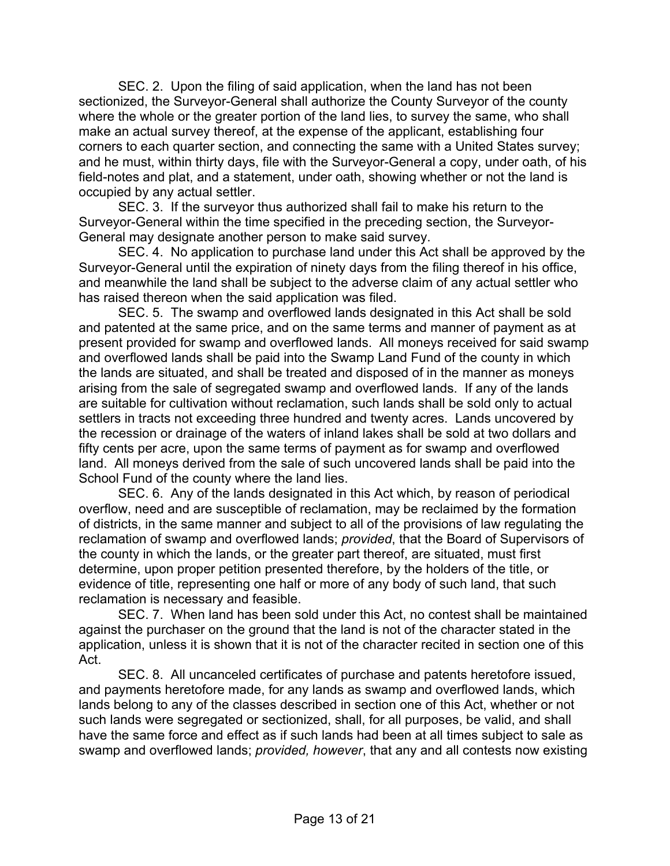SEC. 2. Upon the filing of said application, when the land has not been sectionized, the Surveyor-General shall authorize the County Surveyor of the county where the whole or the greater portion of the land lies, to survey the same, who shall make an actual survey thereof, at the expense of the applicant, establishing four corners to each quarter section, and connecting the same with a United States survey; and he must, within thirty days, file with the Surveyor-General a copy, under oath, of his field-notes and plat, and a statement, under oath, showing whether or not the land is occupied by any actual settler.

 SEC. 3. If the surveyor thus authorized shall fail to make his return to the Surveyor-General within the time specified in the preceding section, the Surveyor-General may designate another person to make said survey.

 SEC. 4. No application to purchase land under this Act shall be approved by the Surveyor-General until the expiration of ninety days from the filing thereof in his office, and meanwhile the land shall be subject to the adverse claim of any actual settler who has raised thereon when the said application was filed.

 SEC. 5. The swamp and overflowed lands designated in this Act shall be sold and patented at the same price, and on the same terms and manner of payment as at present provided for swamp and overflowed lands. All moneys received for said swamp and overflowed lands shall be paid into the Swamp Land Fund of the county in which the lands are situated, and shall be treated and disposed of in the manner as moneys arising from the sale of segregated swamp and overflowed lands. If any of the lands are suitable for cultivation without reclamation, such lands shall be sold only to actual settlers in tracts not exceeding three hundred and twenty acres. Lands uncovered by the recession or drainage of the waters of inland lakes shall be sold at two dollars and fifty cents per acre, upon the same terms of payment as for swamp and overflowed land. All moneys derived from the sale of such uncovered lands shall be paid into the School Fund of the county where the land lies.

 SEC. 6. Any of the lands designated in this Act which, by reason of periodical overflow, need and are susceptible of reclamation, may be reclaimed by the formation of districts, in the same manner and subject to all of the provisions of law regulating the reclamation of swamp and overflowed lands; *provided*, that the Board of Supervisors of the county in which the lands, or the greater part thereof, are situated, must first determine, upon proper petition presented therefore, by the holders of the title, or evidence of title, representing one half or more of any body of such land, that such reclamation is necessary and feasible.

 SEC. 7. When land has been sold under this Act, no contest shall be maintained against the purchaser on the ground that the land is not of the character stated in the application, unless it is shown that it is not of the character recited in section one of this Act.

 SEC. 8. All uncanceled certificates of purchase and patents heretofore issued, and payments heretofore made, for any lands as swamp and overflowed lands, which lands belong to any of the classes described in section one of this Act, whether or not such lands were segregated or sectionized, shall, for all purposes, be valid, and shall have the same force and effect as if such lands had been at all times subject to sale as swamp and overflowed lands; *provided, however*, that any and all contests now existing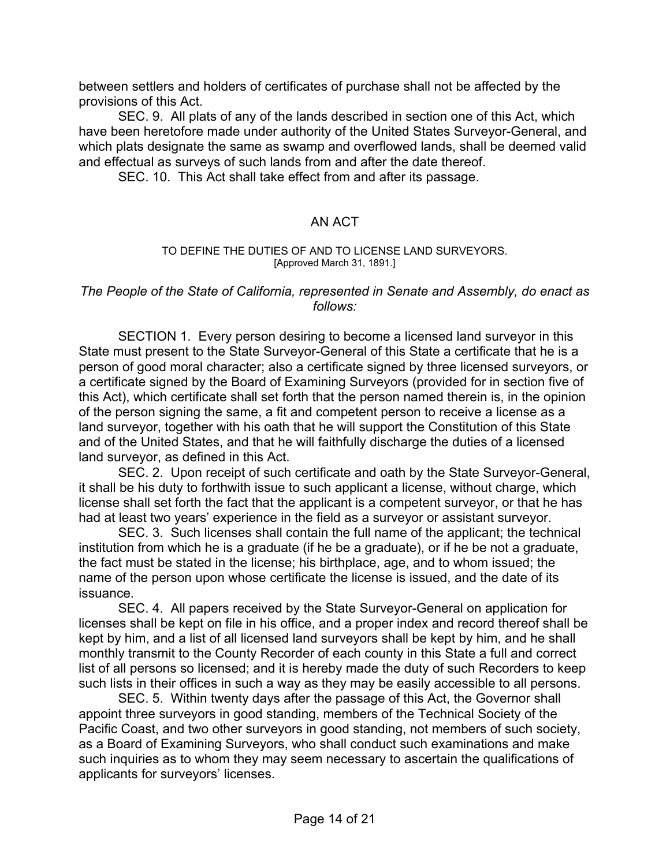between settlers and holders of certificates of purchase shall not be affected by the provisions of this Act.

 SEC. 9. All plats of any of the lands described in section one of this Act, which have been heretofore made under authority of the United States Surveyor-General, and which plats designate the same as swamp and overflowed lands, shall be deemed valid and effectual as surveys of such lands from and after the date thereof.

SEC. 10. This Act shall take effect from and after its passage.

#### AN ACT

#### TO DEFINE THE DUTIES OF AND TO LICENSE LAND SURVEYORS. [Approved March 31, 1891.]

#### *The People of the State of California, represented in Senate and Assembly, do enact as follows:*

 SECTION 1. Every person desiring to become a licensed land surveyor in this State must present to the State Surveyor-General of this State a certificate that he is a person of good moral character; also a certificate signed by three licensed surveyors, or a certificate signed by the Board of Examining Surveyors (provided for in section five of this Act), which certificate shall set forth that the person named therein is, in the opinion of the person signing the same, a fit and competent person to receive a license as a land surveyor, together with his oath that he will support the Constitution of this State and of the United States, and that he will faithfully discharge the duties of a licensed land surveyor, as defined in this Act.

 SEC. 2. Upon receipt of such certificate and oath by the State Surveyor-General, it shall be his duty to forthwith issue to such applicant a license, without charge, which license shall set forth the fact that the applicant is a competent surveyor, or that he has had at least two years' experience in the field as a surveyor or assistant surveyor.

 SEC. 3. Such licenses shall contain the full name of the applicant; the technical institution from which he is a graduate (if he be a graduate), or if he be not a graduate, the fact must be stated in the license; his birthplace, age, and to whom issued; the name of the person upon whose certificate the license is issued, and the date of its issuance.

 SEC. 4. All papers received by the State Surveyor-General on application for licenses shall be kept on file in his office, and a proper index and record thereof shall be kept by him, and a list of all licensed land surveyors shall be kept by him, and he shall monthly transmit to the County Recorder of each county in this State a full and correct list of all persons so licensed; and it is hereby made the duty of such Recorders to keep such lists in their offices in such a way as they may be easily accessible to all persons.

 SEC. 5. Within twenty days after the passage of this Act, the Governor shall appoint three surveyors in good standing, members of the Technical Society of the Pacific Coast, and two other surveyors in good standing, not members of such society, as a Board of Examining Surveyors, who shall conduct such examinations and make such inquiries as to whom they may seem necessary to ascertain the qualifications of applicants for surveyors' licenses.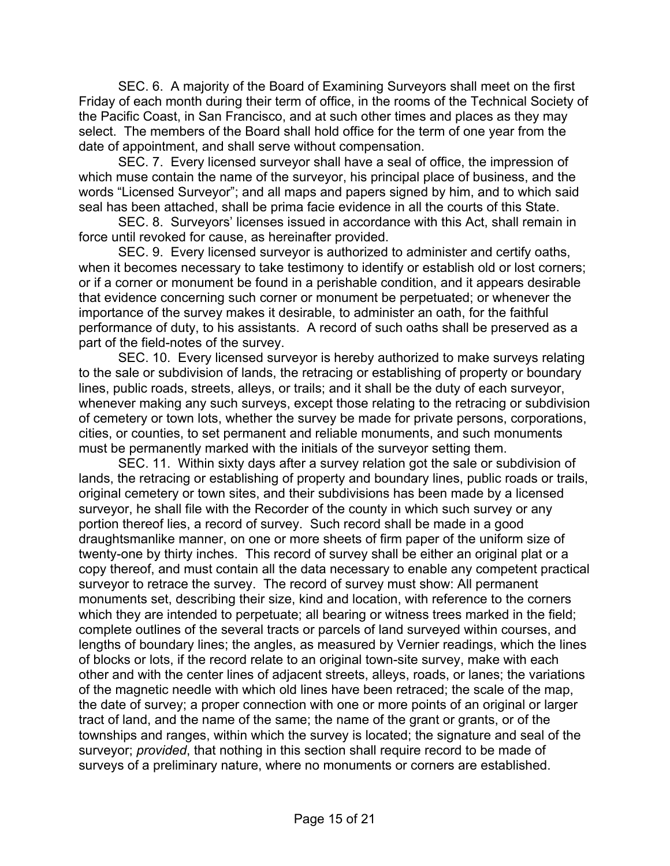SEC. 6. A majority of the Board of Examining Surveyors shall meet on the first Friday of each month during their term of office, in the rooms of the Technical Society of the Pacific Coast, in San Francisco, and at such other times and places as they may select. The members of the Board shall hold office for the term of one year from the date of appointment, and shall serve without compensation.

 SEC. 7. Every licensed surveyor shall have a seal of office, the impression of which muse contain the name of the surveyor, his principal place of business, and the words "Licensed Surveyor"; and all maps and papers signed by him, and to which said seal has been attached, shall be prima facie evidence in all the courts of this State.

 SEC. 8. Surveyors' licenses issued in accordance with this Act, shall remain in force until revoked for cause, as hereinafter provided.

 SEC. 9. Every licensed surveyor is authorized to administer and certify oaths, when it becomes necessary to take testimony to identify or establish old or lost corners; or if a corner or monument be found in a perishable condition, and it appears desirable that evidence concerning such corner or monument be perpetuated; or whenever the importance of the survey makes it desirable, to administer an oath, for the faithful performance of duty, to his assistants. A record of such oaths shall be preserved as a part of the field-notes of the survey.

 SEC. 10. Every licensed surveyor is hereby authorized to make surveys relating to the sale or subdivision of lands, the retracing or establishing of property or boundary lines, public roads, streets, alleys, or trails; and it shall be the duty of each surveyor, whenever making any such surveys, except those relating to the retracing or subdivision of cemetery or town lots, whether the survey be made for private persons, corporations, cities, or counties, to set permanent and reliable monuments, and such monuments must be permanently marked with the initials of the surveyor setting them.

 SEC. 11. Within sixty days after a survey relation got the sale or subdivision of lands, the retracing or establishing of property and boundary lines, public roads or trails, original cemetery or town sites, and their subdivisions has been made by a licensed surveyor, he shall file with the Recorder of the county in which such survey or any portion thereof lies, a record of survey. Such record shall be made in a good draughtsmanlike manner, on one or more sheets of firm paper of the uniform size of twenty-one by thirty inches. This record of survey shall be either an original plat or a copy thereof, and must contain all the data necessary to enable any competent practical surveyor to retrace the survey. The record of survey must show: All permanent monuments set, describing their size, kind and location, with reference to the corners which they are intended to perpetuate; all bearing or witness trees marked in the field; complete outlines of the several tracts or parcels of land surveyed within courses, and lengths of boundary lines; the angles, as measured by Vernier readings, which the lines of blocks or lots, if the record relate to an original town-site survey, make with each other and with the center lines of adjacent streets, alleys, roads, or lanes; the variations of the magnetic needle with which old lines have been retraced; the scale of the map, the date of survey; a proper connection with one or more points of an original or larger tract of land, and the name of the same; the name of the grant or grants, or of the townships and ranges, within which the survey is located; the signature and seal of the surveyor; *provided*, that nothing in this section shall require record to be made of surveys of a preliminary nature, where no monuments or corners are established.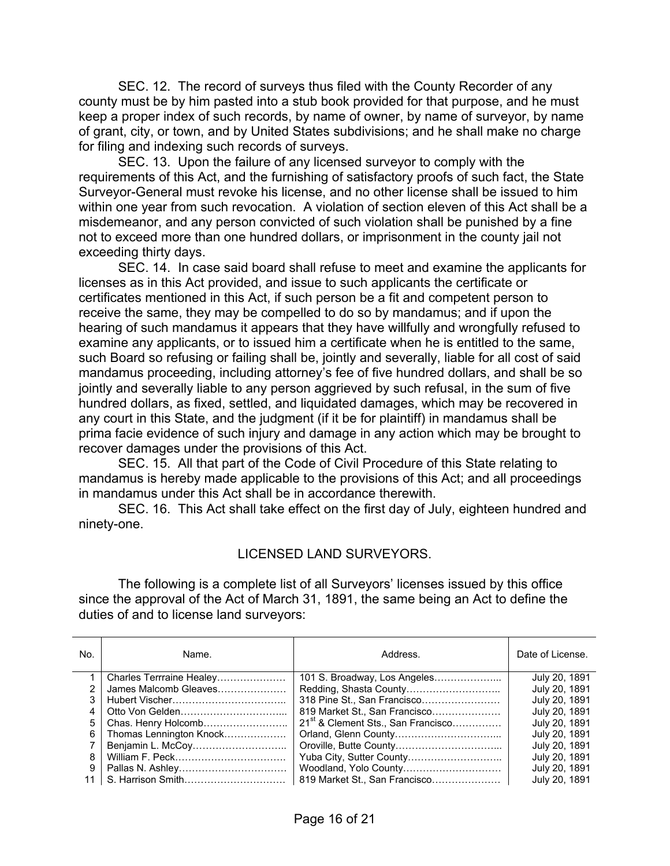SEC. 12. The record of surveys thus filed with the County Recorder of any county must be by him pasted into a stub book provided for that purpose, and he must keep a proper index of such records, by name of owner, by name of surveyor, by name of grant, city, or town, and by United States subdivisions; and he shall make no charge for filing and indexing such records of surveys.

 SEC. 13. Upon the failure of any licensed surveyor to comply with the requirements of this Act, and the furnishing of satisfactory proofs of such fact, the State Surveyor-General must revoke his license, and no other license shall be issued to him within one year from such revocation. A violation of section eleven of this Act shall be a misdemeanor, and any person convicted of such violation shall be punished by a fine not to exceed more than one hundred dollars, or imprisonment in the county jail not exceeding thirty days.

 SEC. 14. In case said board shall refuse to meet and examine the applicants for licenses as in this Act provided, and issue to such applicants the certificate or certificates mentioned in this Act, if such person be a fit and competent person to receive the same, they may be compelled to do so by mandamus; and if upon the hearing of such mandamus it appears that they have willfully and wrongfully refused to examine any applicants, or to issued him a certificate when he is entitled to the same, such Board so refusing or failing shall be, jointly and severally, liable for all cost of said mandamus proceeding, including attorney's fee of five hundred dollars, and shall be so jointly and severally liable to any person aggrieved by such refusal, in the sum of five hundred dollars, as fixed, settled, and liquidated damages, which may be recovered in any court in this State, and the judgment (if it be for plaintiff) in mandamus shall be prima facie evidence of such injury and damage in any action which may be brought to recover damages under the provisions of this Act.

 SEC. 15. All that part of the Code of Civil Procedure of this State relating to mandamus is hereby made applicable to the provisions of this Act; and all proceedings in mandamus under this Act shall be in accordance therewith.

 SEC. 16. This Act shall take effect on the first day of July, eighteen hundred and ninety-one.

#### LICENSED LAND SURVEYORS.

 The following is a complete list of all Surveyors' licenses issued by this office since the approval of the Act of March 31, 1891, the same being an Act to define the duties of and to license land surveyors:

| No. | Name.                    | Address.                                       | Date of License. |
|-----|--------------------------|------------------------------------------------|------------------|
|     | Charles Terrraine Healey | 101 S. Broadway, Los Angeles                   | July 20, 1891    |
|     | James Malcomb Gleaves    |                                                | July 20, 1891    |
| 3   |                          | 318 Pine St., San Francisco                    | July 20, 1891    |
| 4   |                          | 819 Market St., San Francisco                  | July 20, 1891    |
| 5   | Chas. Henry Holcomb      | 21 <sup>st</sup> & Clement Sts., San Francisco | July 20, 1891    |
| 6   | Thomas Lennington Knock  |                                                | July 20, 1891    |
|     |                          |                                                | July 20, 1891    |
| 8   |                          |                                                | July 20, 1891    |
| 9   |                          | Woodland, Yolo County                          | July 20, 1891    |
| 11  |                          | 819 Market St., San Francisco                  | July 20, 1891    |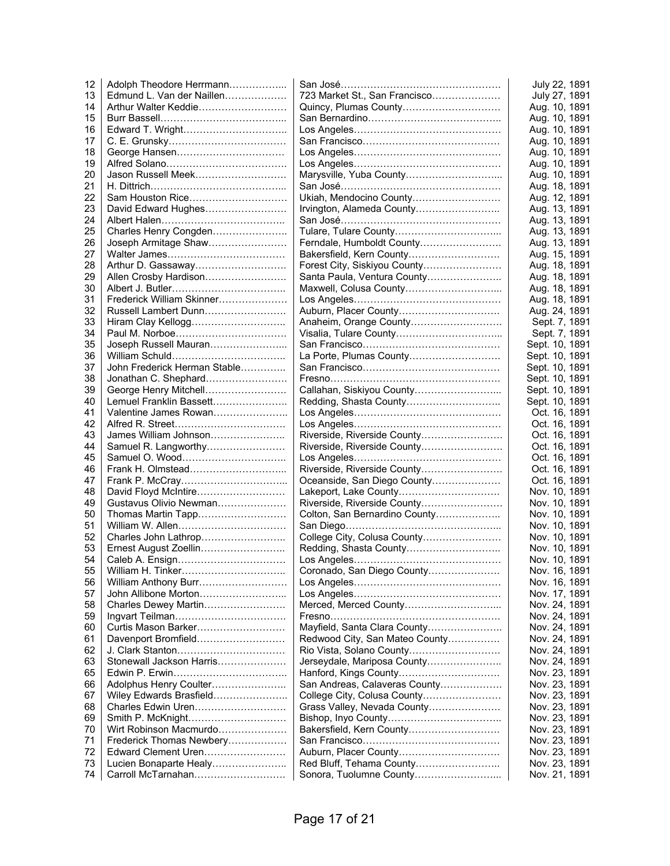| 12 | Adolph Theodore Herrmann     |                                | July 22, 1891  |
|----|------------------------------|--------------------------------|----------------|
| 13 | Edmund L. Van der Naillen    | 723 Market St., San Francisco  | July 27, 1891  |
| 14 | Arthur Walter Keddie         | Quincy, Plumas County          | Aug. 10, 1891  |
| 15 |                              |                                | Aug. 10, 1891  |
| 16 |                              |                                | Aug. 10, 1891  |
| 17 |                              |                                | Aug. 10, 1891  |
| 18 |                              |                                | Aug. 10, 1891  |
| 19 |                              |                                | Aug. 10, 1891  |
| 20 | Jason Russell Meek           | Marysville, Yuba County        | Aug. 10, 1891  |
| 21 |                              |                                | Aug. 18, 1891  |
| 22 | Sam Houston Rice             | Ukiah, Mendocino County        | Aug. 12, 1891  |
| 23 | David Edward Hughes          | Irvington, Alameda County      | Aug. 13, 1891  |
| 24 |                              |                                | Aug. 13, 1891  |
| 25 | Charles Henry Congden        |                                | Aug. 13, 1891  |
| 26 | Joseph Armitage Shaw         | Ferndale, Humboldt County      | Aug. 13, 1891  |
| 27 |                              | Bakersfield, Kern County       | Aug. 15, 1891  |
| 28 |                              | Forest City, Siskiyou County   | Aug. 18, 1891  |
| 29 | Allen Crosby Hardison        | Santa Paula, Ventura County    | Aug. 18, 1891  |
| 30 |                              | Maxwell, Colusa County         | Aug. 18, 1891  |
| 31 | Frederick William Skinner    |                                | Aug. 18, 1891  |
| 32 | Russell Lambert Dunn         | Auburn, Placer County          | Aug. 24, 1891  |
|    |                              |                                |                |
| 33 | Hiram Clay Kellogg           | Anaheim, Orange County         | Sept. 7, 1891  |
| 34 |                              |                                | Sept. 7, 1891  |
| 35 | Joseph Russell Mauran        |                                | Sept. 10, 1891 |
| 36 |                              | La Porte, Plumas County        | Sept. 10, 1891 |
| 37 | John Frederick Herman Stable |                                | Sept. 10, 1891 |
| 38 | Jonathan C. Shephard         |                                | Sept. 10, 1891 |
| 39 | George Henry Mitchell        | Callahan, Siskiyou County      | Sept. 10, 1891 |
| 40 | Lemuel Franklin Bassett      | Redding, Shasta County         | Sept. 10, 1891 |
| 41 | Valentine James Rowan        |                                | Oct. 16, 1891  |
| 42 |                              |                                | Oct. 16, 1891  |
| 43 | James William Johnson        | Riverside, Riverside County    | Oct. 16, 1891  |
| 44 | Samuel R. Langworthy         | Riverside, Riverside County    | Oct. 16, 1891  |
| 45 |                              |                                | Oct. 16, 1891  |
| 46 |                              | Riverside, Riverside County    | Oct. 16, 1891  |
| 47 |                              | Oceanside, San Diego County    | Oct. 16, 1891  |
| 48 | David Floyd McIntire         | Lakeport, Lake County          | Nov. 10, 1891  |
| 49 | Gustavus Olivio Newman       | Riverside, Riverside County    | Nov. 10, 1891  |
| 50 | Thomas Martin Tapp           | Colton, San Bernardino County  | Nov. 10, 1891  |
| 51 | William W. Allen             |                                | Nov. 10, 1891  |
| 52 | Charles John Lathrop         | College City, Colusa County    | Nov. 10, 1891  |
| 53 | Ernest August Zoellin        | Redding, Shasta County         | Nov. 10, 1891  |
| 54 |                              |                                | Nov. 10, 1891  |
| 55 | William H. Tinker            | Coronado, San Diego County     | Nov. 16, 1891  |
| 56 | William Anthony Burr         |                                | Nov. 16, 1891  |
| 57 | John Allibone Morton         |                                | Nov. 17, 1891  |
| 58 | Charles Dewey Martin         | Merced, Merced County          | Nov. 24, 1891  |
| 59 |                              |                                | Nov. 24, 1891  |
| 60 | Curtis Mason Barker          | Mayfield, Santa Clara County   | Nov. 24, 1891  |
| 61 | Davenport Bromfield          | Redwood City, San Mateo County | Nov. 24, 1891  |
| 62 |                              | Rio Vista, Solano County       | Nov. 24, 1891  |
| 63 | Stonewall Jackson Harris     | Jerseydale, Mariposa County    | Nov. 24, 1891  |
| 65 |                              | Hanford, Kings County          | Nov. 23, 1891  |
| 66 | Adolphus Henry Coulter       | San Andreas, Calaveras County  | Nov. 23, 1891  |
| 67 | Wiley Edwards Brasfield      | College City, Colusa County    | Nov. 23, 1891  |
| 68 | Charles Edwin Uren           | Grass Valley, Nevada County    | Nov. 23, 1891  |
| 69 | Smith P. McKnight            |                                | Nov. 23, 1891  |
| 70 | Wirt Robinson Macmurdo       | Bakersfield, Kern County       | Nov. 23, 1891  |
| 71 | Frederick Thomas Newbery     |                                | Nov. 23, 1891  |
| 72 | Edward Clement Uren          | Auburn, Placer County          | Nov. 23, 1891  |
| 73 | Lucien Bonaparte Healy       | Red Bluff, Tehama County       | Nov. 23, 1891  |
| 74 | Carroll McTarnahan           | Sonora, Tuolumne County        | Nov. 21, 1891  |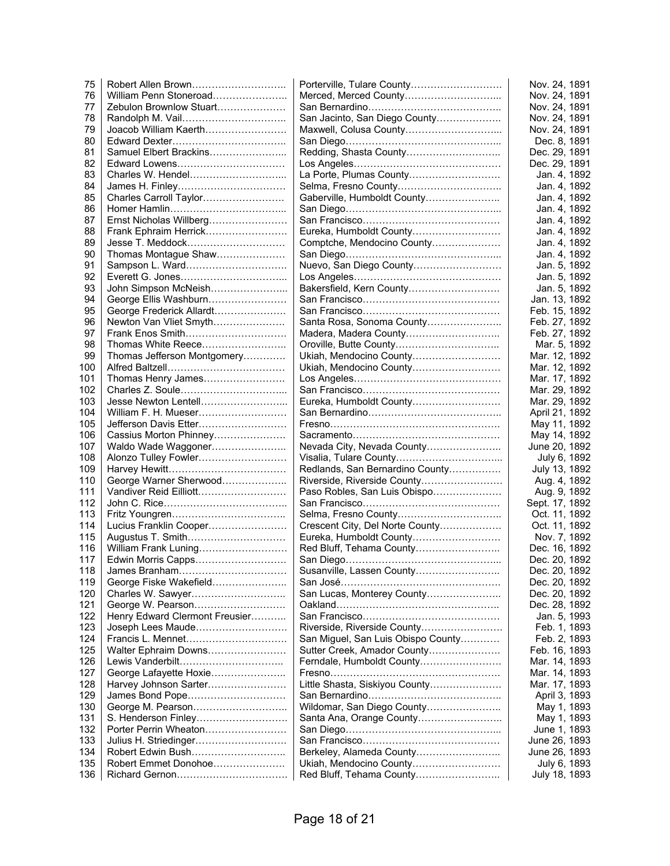| 75         | Robert Allen Brown                  | Porterville, Tulare County         | Nov. 24, 1891                  |
|------------|-------------------------------------|------------------------------------|--------------------------------|
| 76         | William Penn Stoneroad              | Merced, Merced County              | Nov. 24, 1891                  |
| 77         | Zebulon Brownlow Stuart             |                                    | Nov. 24, 1891                  |
| 78         | Randolph M. Vail                    | San Jacinto, San Diego County      | Nov. 24, 1891                  |
| 79         | Joacob William Kaerth               | Maxwell, Colusa County             | Nov. 24, 1891                  |
| 80         |                                     |                                    | Dec. 8, 1891                   |
| 81         | Samuel Elbert Brackins              | Redding, Shasta County             | Dec. 29, 1891                  |
| 82         | Edward Lowens                       |                                    | Dec. 29, 1891                  |
| 83         | Charles W. Hendel                   | La Porte, Plumas County            | Jan. 4, 1892                   |
| 84         |                                     |                                    | Jan. 4, 1892                   |
| 85         | Charles Carroll Taylor              | Gaberville, Humboldt County        | Jan. 4, 1892                   |
| 86         |                                     |                                    | Jan. 4, 1892                   |
| 87         | Ernst Nicholas Willberg             |                                    | Jan. 4, 1892                   |
| 88         | Frank Ephraim Herrick               | Eureka, Humboldt County            | Jan. 4, 1892                   |
| 89         | Jesse T. Meddock                    | Comptche, Mendocino County         | Jan. 4, 1892                   |
| 90         | Thomas Montague Shaw                |                                    | Jan. 4, 1892                   |
| 91         | Sampson L. Ward                     | Nuevo, San Diego County            | Jan. 5, 1892                   |
| 92         |                                     |                                    | Jan. 5, 1892                   |
| 93         | John Simpson McNeish                | Bakersfield, Kern County           | Jan. 5, 1892                   |
| 94         | George Ellis Washburn               |                                    | Jan. 13, 1892                  |
| 95         | George Frederick Allardt            |                                    | Feb. 15, 1892                  |
| 96         | Newton Van Vliet Smyth              | Santa Rosa, Sonoma County          | Feb. 27, 1892                  |
| 97         | Frank Enos Smith                    |                                    | Feb. 27, 1892                  |
| 98         | Thomas White Reece                  |                                    | Mar. 5, 1892                   |
| 99         | Thomas Jefferson Montgomery         | Ukiah, Mendocino County            | Mar. 12, 1892                  |
| 100        |                                     | Ukiah, Mendocino County            | Mar. 12, 1892                  |
| 101        | Thomas Henry James                  |                                    | Mar. 17, 1892                  |
| 102        |                                     |                                    | Mar. 29, 1892                  |
| 103        | Jesse Newton Lentell                | Eureka, Humboldt County            | Mar. 29, 1892                  |
| 104        | William F. H. Mueser                |                                    | April 21, 1892                 |
| 105        | Jefferson Davis Etter               |                                    | May 11, 1892                   |
| 106        | Cassius Morton Phinney              |                                    | May 14, 1892                   |
| 107        | Waldo Wade Waggoner                 | Nevada City, Nevada County         | June 20, 1892                  |
| 108        | Alonzo Tulley Fowler                |                                    | July 6, 1892                   |
| 109        |                                     | Redlands, San Bernardino County    | July 13, 1892                  |
| 110        | George Warner Sherwood              | Riverside, Riverside County        | Aug. 4, 1892                   |
| 111        | Vandiver Reid Eilliott              | Paso Robles, San Luis Obispo       | Aug. 9, 1892                   |
| 112        |                                     |                                    | Sept. 17, 1892                 |
| 113        |                                     | Selma, Fresno County               | Oct. 11, 1892                  |
| 114        | Lucius Franklin Cooper              | Crescent City, Del Norte County    | Oct. 11, 1892                  |
| 115        | Augustus T. Smith                   | Eureka, Humboldt County            | Nov. 7, 1892                   |
| 116        | William Frank Luning                | Red Bluff, Tehama County           | Dec. 16, 1892                  |
| 117<br>118 | Edwin Morris Capps<br>James Branham | Susanville, Lassen County          | Dec. 20, 1892<br>Dec. 20, 1892 |
| 119        | George Fiske Wakefield              |                                    |                                |
| 120        |                                     | San Lucas, Monterey County         | Dec. 20, 1892<br>Dec. 20, 1892 |
| 121        | George W. Pearson                   |                                    |                                |
| 122        | Henry Edward Clermont Freusier      |                                    | Dec. 28, 1892<br>Jan. 5, 1993  |
| 123        | Joseph Lees Maude                   | Riverside, Riverside County        | Feb. 1, 1893                   |
| 124        | Francis L. Mennet                   | San Miguel, San Luis Obispo County | Feb. 2, 1893                   |
| 125        | Walter Ephraim Downs                | Sutter Creek, Amador County        | Feb. 16, 1893                  |
| 126        | Lewis Vanderbilt                    | Ferndale, Humboldt County          | Mar. 14, 1893                  |
| 127        | George Lafayette Hoxie              |                                    | Mar. 14, 1893                  |
| 128        | Harvey Johnson Sarter               | Little Shasta, Siskiyou County     | Mar. 17, 1893                  |
| 129        | James Bond Pope                     |                                    | April 3, 1893                  |
| 130        |                                     | Wildomar, San Diego County         | May 1, 1893                    |
| 131        | S. Henderson Finley                 | Santa Ana, Orange County           | May 1, 1893                    |
| 132        | Porter Perrin Wheaton               |                                    | June 1, 1893                   |
| 133        | Julius H. Striedinger               |                                    | June 26, 1893                  |
| 134        |                                     | Berkeley, Alameda County           | June 26, 1893                  |
| 135        | Robert Emmet Donohoe                | Ukiah, Mendocino County            | July 6, 1893                   |
| 136        |                                     | Red Bluff, Tehama County           | July 18, 1893                  |
|            |                                     |                                    |                                |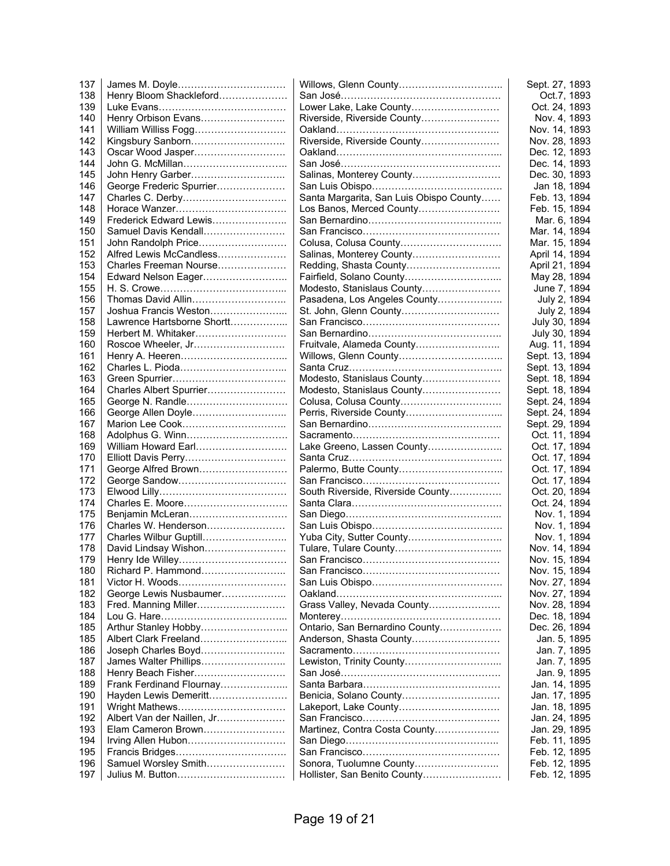| 137 |                            |                                         | Sept. 27, 1893 |
|-----|----------------------------|-----------------------------------------|----------------|
| 138 | Henry Bloom Shackleford    |                                         | Oct.7, 1893    |
| 139 |                            | Lower Lake, Lake County                 | Oct. 24, 1893  |
| 140 | Henry Orbison Evans        | Riverside, Riverside County             | Nov. 4, 1893   |
| 141 | William Williss Fogg       |                                         | Nov. 14, 1893  |
| 142 | Kingsbury Sanborn          | Riverside, Riverside County             | Nov. 28, 1893  |
| 143 | Oscar Wood Jasper          |                                         | Dec. 12, 1893  |
| 144 | John G. McMillan           |                                         | Dec. 14, 1893  |
| 145 | John Henry Garber          | Salinas, Monterey County                | Dec. 30, 1893  |
| 146 | George Frederic Spurrier   |                                         | Jan 18, 1894   |
| 147 |                            | Santa Margarita, San Luis Obispo County | Feb. 13, 1894  |
| 148 |                            | Los Banos, Merced County                | Feb. 15, 1894  |
| 149 | Frederick Edward Lewis     |                                         | Mar. 6, 1894   |
| 150 | Samuel Davis Kendall       |                                         | Mar. 14, 1894  |
| 151 | John Randolph Price        |                                         | Mar. 15, 1894  |
| 152 | Alfred Lewis McCandless    | Salinas, Monterey County                | April 14, 1894 |
| 153 | Charles Freeman Nourse     |                                         | April 21, 1894 |
| 154 | Edward Nelson Eager        |                                         | May 28, 1894   |
| 155 |                            | Modesto, Stanislaus County              | June 7, 1894   |
| 156 | Thomas David Allin         | Pasadena, Los Angeles County            | July 2, 1894   |
| 157 | Joshua Francis Weston      | St. John, Glenn County                  | July 2, 1894   |
| 158 | Lawrence Hartsborne Shortt |                                         | July 30, 1894  |
| 159 | Herbert M. Whitaker        |                                         | July 30, 1894  |
| 160 |                            |                                         | Aug. 11, 1894  |
|     | Roscoe Wheeler, Jr         | Fruitvale, Alameda County               |                |
| 161 |                            |                                         | Sept. 13, 1894 |
| 162 |                            |                                         | Sept. 13, 1894 |
| 163 |                            | Modesto, Stanislaus County              | Sept. 18, 1894 |
| 164 | Charles Albert Spurrier    | Modesto, Stanislaus County              | Sept. 18, 1894 |
| 165 | George N. Randle           | Colusa, Colusa County                   | Sept. 24, 1894 |
| 166 | George Allen Doyle         |                                         | Sept. 24, 1894 |
| 167 |                            |                                         | Sept. 29, 1894 |
| 168 |                            |                                         | Oct. 11, 1894  |
| 169 | William Howard Earl        | Lake Greeno, Lassen County              | Oct. 17, 1894  |
| 170 | Elliott Davis Perry        |                                         | Oct. 17, 1894  |
| 171 | George Alfred Brown        |                                         | Oct. 17, 1894  |
| 172 |                            |                                         | Oct. 17, 1894  |
| 173 |                            | South Riverside, Riverside County       | Oct. 20, 1894  |
| 174 |                            |                                         | Oct. 24, 1894  |
| 175 | Benjamin McLeran           |                                         | Nov. 1, 1894   |
| 176 | Charles W. Henderson       |                                         | Nov. 1, 1894   |
| 177 | Charles Wilbur Guptill     |                                         | Nov. 1, 1894   |
| 178 | David Lindsay Wishon       |                                         | Nov. 14, 1894  |
| 179 |                            |                                         | Nov. 15, 1894  |
| 180 | Richard P. Hammond         |                                         | Nov. 15, 1894  |
| 181 |                            |                                         | Nov. 27, 1894  |
| 182 | George Lewis Nusbaumer     |                                         | Nov. 27, 1894  |
| 183 | Fred. Manning Miller       | Grass Valley, Nevada County             | Nov. 28, 1894  |
| 184 |                            |                                         | Dec. 18, 1894  |
| 185 | Arthur Stanley Hobby       | Ontario, San Bernardino County          | Dec. 26, 1894  |
| 185 | Albert Clark Freeland      | Anderson, Shasta County                 | Jan. 5, 1895   |
| 186 | Joseph Charles Boyd        |                                         | Jan. 7, 1895   |
| 187 | James Walter Phillips      | Lewiston, Trinity County                | Jan. 7, 1895   |
| 188 | Henry Beach Fisher         |                                         | Jan. 9, 1895   |
| 189 | Frank Ferdinand Flournay   |                                         | Jan. 14, 1895  |
| 190 | Hayden Lewis Demeritt      |                                         | Jan. 17, 1895  |
| 191 |                            | Lakeport, Lake County                   | Jan. 18, 1895  |
| 192 | Albert Van der Naillen, Jr |                                         | Jan. 24, 1895  |
| 193 | Elam Cameron Brown         | Martinez, Contra Costa County           | Jan. 29, 1895  |
| 194 | Irving Allen Hubon         |                                         | Feb. 11, 1895  |
| 195 |                            |                                         | Feb. 12, 1895  |
| 196 | Samuel Worsley Smith       | Sonora, Tuolumne County                 | Feb. 12, 1895  |
| 197 |                            | Hollister, San Benito County            | Feb. 12, 1895  |
|     |                            |                                         |                |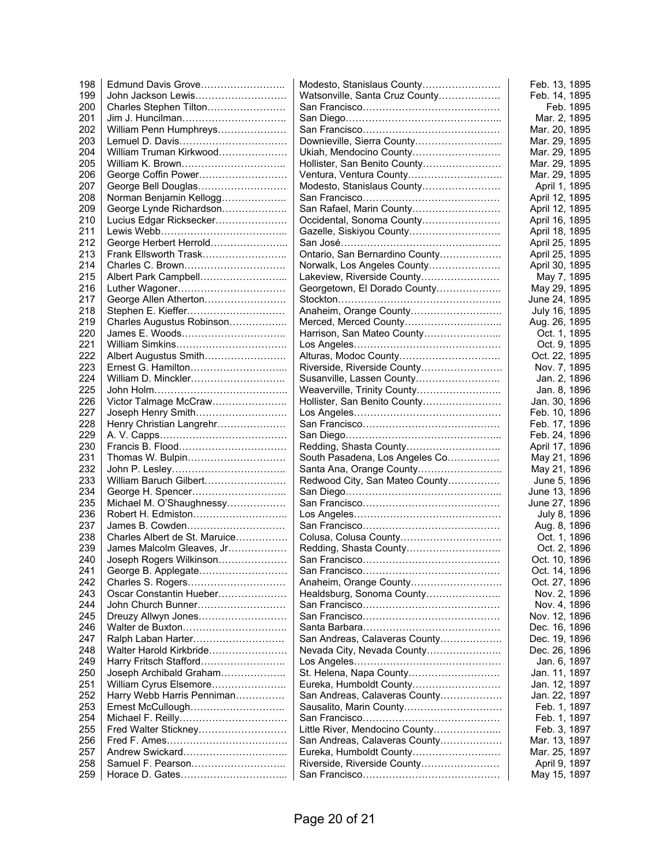| 198 | Edmund Davis Grove            | Modesto, Stanislaus County     | Feb. 13, 1895  |
|-----|-------------------------------|--------------------------------|----------------|
| 199 | John Jackson Lewis            | Watsonville, Santa Cruz County | Feb. 14, 1895  |
| 200 | Charles Stephen Tilton        |                                | Feb. 1895      |
| 201 | Jim J. Huncilman              |                                | Mar. 2, 1895   |
| 202 | William Penn Humphreys        |                                | Mar. 20, 1895  |
| 203 | Lemuel D. Davis               | Downieville, Sierra County     | Mar. 29, 1895  |
| 204 | William Truman Kirkwood       | Ukiah, Mendocino County        | Mar. 29, 1895  |
| 205 | William K. Brown              | Hollister, San Benito County   | Mar. 29, 1895  |
| 206 | George Coffin Power           |                                | Mar. 29, 1895  |
| 207 | George Bell Douglas           | Modesto, Stanislaus County     | April 1, 1895  |
| 208 | Norman Benjamin Kellogg       |                                | April 12, 1895 |
| 209 | George Lynde Richardson       | San Rafael, Marin County       | April 12, 1895 |
| 210 | Lucius Edgar Ricksecker       | Occidental, Sonoma County      | April 16, 1895 |
| 211 |                               | Gazelle, Siskiyou County       | April 18, 1895 |
| 212 | George Herbert Herrold        |                                | April 25, 1895 |
| 213 | Frank Ellsworth Trask         | Ontario, San Bernardino County | April 25, 1895 |
| 214 | Charles C. Brown              | Norwalk, Los Angeles County    | April 30, 1895 |
| 215 | Albert Park Campbell          | Lakeview, Riverside County     | May 7, 1895    |
| 216 | Luther Wagoner                | Georgetown, El Dorado County   | May 29, 1895   |
| 217 | George Allen Atherton         |                                | June 24, 1895  |
| 218 |                               | Anaheim, Orange County         |                |
|     | Stephen E. Kieffer            |                                | July 16, 1895  |
| 219 | Charles Augustus Robinson     |                                | Aug. 26, 1895  |
| 220 | James E. Woods                | Harrison, San Mateo County     | Oct. 1, 1895   |
| 221 |                               |                                | Oct. 9, 1895   |
| 222 | Albert Augustus Smith         | Alturas, Modoc County          | Oct. 22, 1895  |
| 223 | Ernest G. Hamilton            | Riverside, Riverside County    | Nov. 7, 1895   |
| 224 | William D. Minckler           | Susanville, Lassen County      | Jan. 2, 1896   |
| 225 |                               | Weaverville, Trinity County    | Jan. 8, 1896   |
| 226 | Victor Talmage McCraw         | Hollister, San Benito County   | Jan. 30, 1896  |
| 227 | Joseph Henry Smith            |                                | Feb. 10, 1896  |
| 228 | Henry Christian Langrehr      |                                | Feb. 17, 1896  |
| 229 |                               |                                | Feb. 24, 1896  |
| 230 |                               |                                | April 17, 1896 |
| 231 | Thomas W. Bulpin              | South Pasadena, Los Angeles Co | May 21, 1896   |
| 232 |                               | Santa Ana, Orange County       | May 21, 1896   |
| 233 | William Baruch Gilbert        | Redwood City, San Mateo County | June 5, 1896   |
| 234 |                               |                                | June 13, 1896  |
| 235 | Michael M. O'Shaughnessy      |                                | June 27, 1896  |
| 236 | Robert H. Edmiston            |                                | July 8, 1896   |
| 237 | James B. Cowden               |                                | Aug. 8, 1896   |
| 238 | Charles Albert de St. Maruice | Colusa, Colusa County          | Oct. 1, 1896   |
| 239 | James Malcolm Gleaves, Jr     | Redding, Shasta County         | Oct. 2, 1896   |
| 240 | Joseph Rogers Wilkinson       |                                | Oct. 10, 1896  |
| 241 | George B. Applegate           |                                | Oct. 14, 1896  |
| 242 | Charles S. Rogers             | Anaheim, Orange County         | Oct. 27, 1896  |
| 243 | Oscar Constantin Hueber       | Healdsburg, Sonoma County      | Nov. 2, 1896   |
| 244 | John Church Bunner            |                                | Nov. 4, 1896   |
| 245 | Dreuzy Allwyn Jones           |                                | Nov. 12, 1896  |
| 246 |                               |                                | Dec. 16, 1896  |
| 247 | Ralph Laban Harter            | San Andreas, Calaveras County  | Dec. 19, 1896  |
| 248 | Walter Harold Kirkbride       | Nevada City, Nevada County     | Dec. 26, 1896  |
| 249 | Harry Fritsch Stafford        |                                | Jan. 6, 1897   |
| 250 | Joseph Archibald Graham       | St. Helena, Napa County        | Jan. 11, 1897  |
| 251 | William Cyrus Elsemore        | Eureka, Humboldt County        | Jan. 12, 1897  |
| 252 | Harry Webb Harris Penniman    | San Andreas, Calaveras County  | Jan. 22, 1897  |
| 253 | Ernest McCullough             | Sausalito, Marin County        | Feb. 1, 1897   |
| 254 |                               |                                | Feb. 1, 1897   |
| 255 | Fred Walter Stickney          | Little River, Mendocino County | Feb. 3, 1897   |
| 256 |                               | San Andreas, Calaveras County  | Mar. 13, 1897  |
| 257 |                               | Eureka, Humboldt County        | Mar. 25, 1897  |
| 258 | Samuel F. Pearson             | Riverside, Riverside County    | April 9, 1897  |
| 259 |                               |                                | May 15, 1897   |